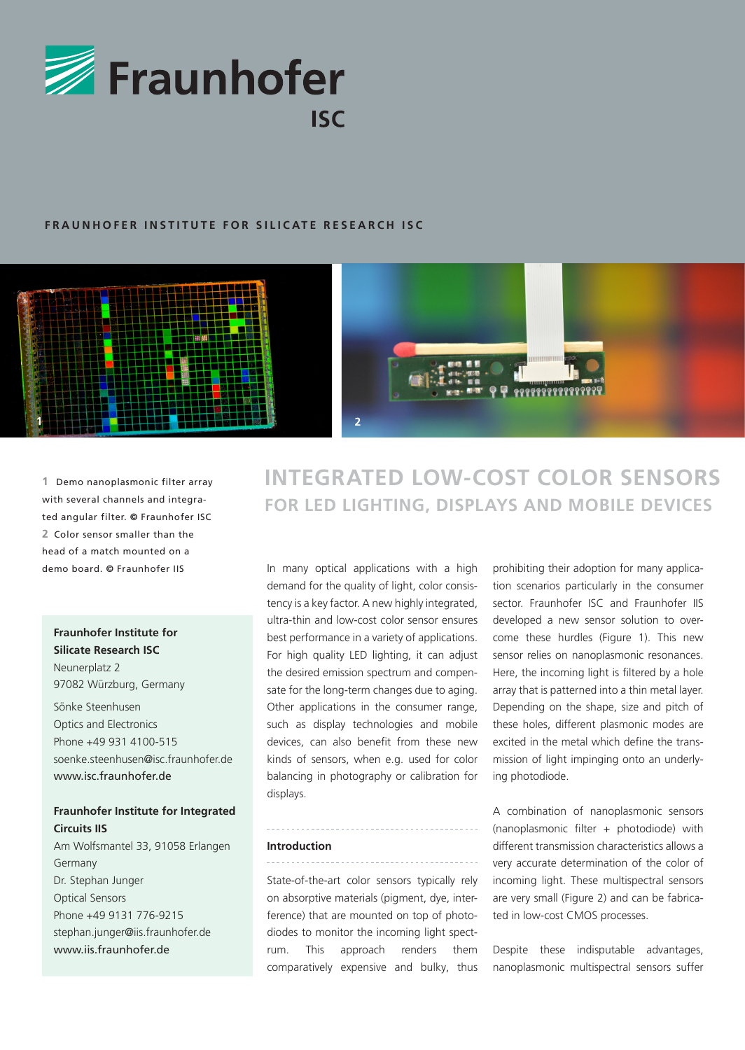

## **FRAUNHOFER INSTITUTE FOR SILICATE RESEARCH ISC**



**1** Demo nanoplasmonic filter array with several channels and integrated angular filter. **©** Fraunhofer ISC **2** Color sensor smaller than the head of a match mounted on a

## **Fraunhofer Institute for Silicate Research ISC**

Neunerplatz 2 97082 Würzburg, Germany Sönke Steenhusen Optics and Electronics Phone +49 931 4100-515 soenke.steenhusen@isc.fraunhofer.de www.isc.fraunhofer.de

## **Fraunhofer Institute for Integrated Circuits IIS**

Am Wolfsmantel 33, 91058 Erlangen Germany Dr. Stephan Junger Optical Sensors Phone +49 9131 776-9215 stephan.junger@iis.fraunhofer.de www.iis.fraunhofer.de

# **INTEGRATED LOW-COST COLOR SENSORS FOR LED LIGHTING, DISPLAYS AND MOBILE DEVICES**

In many optical applications with a high demo board. **©** Fraunhofer IIS prohibiting their adoption for many applicademand for the quality of light, color consistency is a key factor. A new highly integrated, ultra-thin and low-cost color sensor ensures best performance in a variety of applications. For high quality LED lighting, it can adjust the desired emission spectrum and compensate for the long-term changes due to aging. Other applications in the consumer range, such as display technologies and mobile devices, can also benefit from these new kinds of sensors, when e.g. used for color balancing in photography or calibration for displays.

tion scenarios particularly in the consumer sector. Fraunhofer ISC and Fraunhofer IIS developed a new sensor solution to overcome these hurdles (Figure 1). This new sensor relies on nanoplasmonic resonances. Here, the incoming light is filtered by a hole array that is patterned into a thin metal layer. Depending on the shape, size and pitch of these holes, different plasmonic modes are excited in the metal which define the transmission of light impinging onto an underlying photodiode.

#### **Introduction**

. . . . . . . . . . . . . . . . . .

State-of-the-art color sensors typically rely on absorptive materials (pigment, dye, interference) that are mounted on top of photodiodes to monitor the incoming light spectrum. This approach renders them comparatively expensive and bulky, thus

A combination of nanoplasmonic sensors (nanoplasmonic filter + photodiode) with different transmission characteristics allows a very accurate determination of the color of incoming light. These multispectral sensors are very small (Figure 2) and can be fabricated in low-cost CMOS processes.

Despite these indisputable advantages, nanoplasmonic multispectral sensors suffer